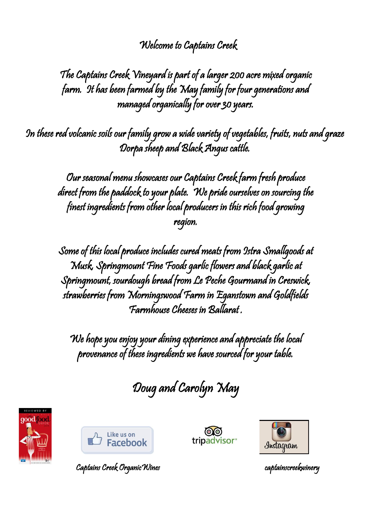## Welcome to Captains Creek

The Captains Creek Vineyard is part of a larger 200 acre mixed organic farm. It has been farmed by the May family for four generations and managed organically for over 30 years.

In these red volcanic soils our family grow a wide variety of vegetables, fruits, nuts and graze Dorpa sheep and Black Angus cattle.

Our seasonal menu showcases our Captains Creek farm fresh produce direct from the paddock to your plate. We pride ourselves on sourcing the finest ingredients from other local producers in this rich food growing region.

Some of this local produce includes cured meats from Istra Smallgoods at Musk, Springmount Fine Foods garlic flowers and black garlic at Springmount, sourdough bread from Le Peche Gourmand in Creswick, strawberries from Morningswood Farm in Eganstown and Goldfields Farmhouse Cheeses in Ballarat .

We hope you enjoy your dining experience and appreciate the local provenance of these ingredients we have sourced for your table.

Doug and Carolyn May









Captains Creek OrganicWines captainscreekwinery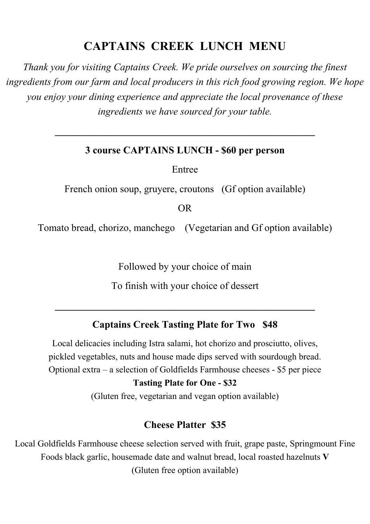## **CAPTAINS CREEK LUNCH MENU**

*Thank you for visiting Captains Creek. We pride ourselves on sourcing the finest ingredients from our farm and local producers in this rich food growing region. We hope you enjoy your dining experience and appreciate the local provenance of these ingredients we have sourced for your table.*

#### **3 course CAPTAINS LUNCH - \$60 per person**

**\_\_\_\_\_\_\_\_\_\_\_\_\_\_\_\_\_\_\_\_\_\_\_\_\_\_\_\_\_\_\_\_\_\_\_\_\_\_\_\_\_\_\_\_\_\_\_\_\_\_\_\_**

Entree

French onion soup, gruyere, croutons (Gf option available)

OR

Tomato bread, chorizo, manchego (Vegetarian and Gf option available)

Followed by your choice of main

To finish with your choice of dessert

**\_\_\_\_\_\_\_\_\_\_\_\_\_\_\_\_\_\_\_\_\_\_\_\_\_\_\_\_\_\_\_\_\_\_\_\_\_\_\_\_\_\_\_\_\_\_\_\_\_\_\_\_**

#### **Captains Creek Tasting Plate for Two \$48**

Local delicacies including Istra salami, hot chorizo and prosciutto, olives, pickled vegetables, nuts and house made dips served with sourdough bread. Optional extra – a selection of Goldfields Farmhouse cheeses - \$5 per piece

#### **Tasting Plate for One - \$32**

(Gluten free, vegetarian and vegan option available)

#### **Cheese Platter \$35**

Local Goldfields Farmhouse cheese selection served with fruit, grape paste, Springmount Fine Foods black garlic, housemade date and walnut bread, local roasted hazelnuts **V** (Gluten free option available)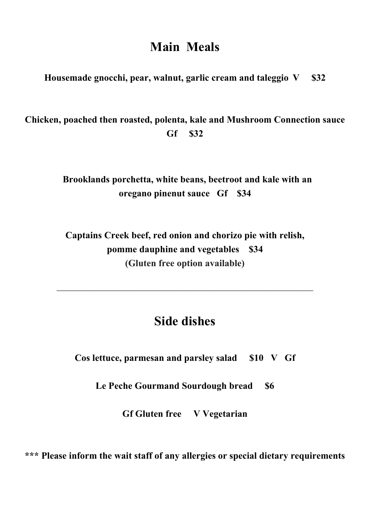# **Main Meals**

**Housemade gnocchi, pear, walnut, garlic cream and taleggio V \$32**

**Chicken, poached then roasted, polenta, kale and Mushroom Connection sauce Gf \$32**

> **Brooklands porchetta, white beans, beetroot and kale with an oregano pinenut sauce Gf \$34**

**Captains Creek beef, red onion and chorizo pie with relish, pomme dauphine and vegetables \$34 (Gluten free option available)**

# **Side dishes**

 $\mathcal{L}_\text{max}$  and  $\mathcal{L}_\text{max}$  and  $\mathcal{L}_\text{max}$  and  $\mathcal{L}_\text{max}$  and  $\mathcal{L}_\text{max}$  and  $\mathcal{L}_\text{max}$ 

**Cos lettuce, parmesan and parsley salad \$10 V Gf** 

**Le Peche Gourmand Sourdough bread \$6**

**Gf Gluten free V Vegetarian**

**\*\*\* Please inform the wait staff of any allergies or special dietary requirements**